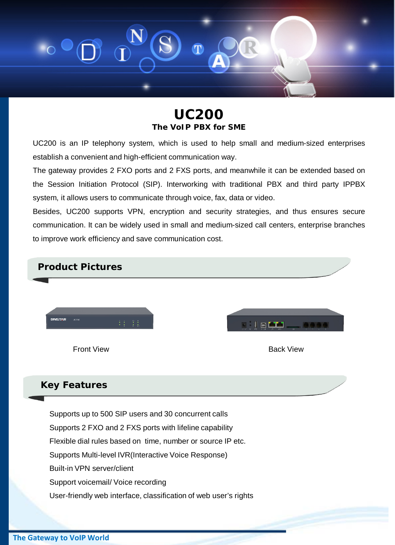

**UC200 The VoIP PBX for SME**

UC200 is an IP telephony system, which is used to help small and medium-sized enterprises establish a convenient and high-efficient communication way.

The gateway provides 2 FXO ports and 2 FXS ports, and meanwhile it can be extended based on the Session Initiation Protocol (SIP). Interworking with traditional PBX and third party IPPBX system, it allows users to communicate through voice, fax, data or video.

Besides, UC200 supports VPN, encryption and security strategies, and thus ensures secure communication. It can be widely used in small and medium-sized call centers, enterprise branches to improve work efficiency and save communication cost.



### **Key Features**

Supports up to 500 SIP users and 30 concurrent calls Supports 2 FXO and 2 FXS ports with lifeline capability Flexible dial rules based on time, number or source IP etc. Supports Multi-level IVR(Interactive Voice Response) Built-in VPN server/client Support voicemail/ Voice recording User-friendly web interface, classification of web user's rights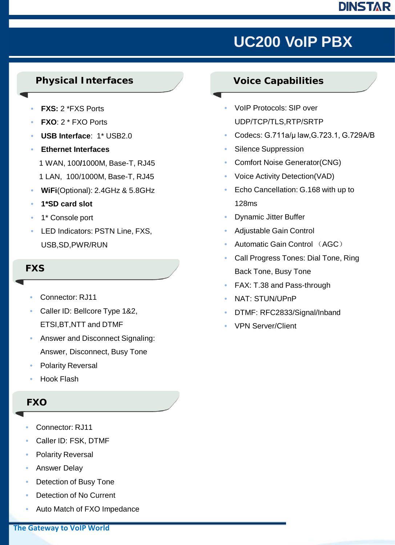## **DINSTAR**

# 十年专注 铸就品质 **UC200 VoIP PBX**

### **Physical Interfaces**

- **FXS:** 2 \*FXS Ports
- **FXO**: 2 \* FXO Ports
- **USB Interface**: 1\* USB2.0
- **Ethernet Interfaces**
	- 1 WAN, 100**/**1000M, Base-T, RJ45
	- 1 LAN, 100/1000M, Base-T, RJ45
- **WiFi**(Optional): 2.4GHz & 5.8GHz
- **1\*SD card slot**
- 1\* Console port
- LED Indicators: PSTN Line, FXS, USB,SD,PWR/RUN

### **FXS**

- Connector: RJ11
- Caller ID: Bellcore Type 1&2, ETSI,BT,NTT and DTMF
- Answer and Disconnect Signaling: Answer, Disconnect, Busy Tone
- Polarity Reversal
- Hook Flash

### **FXO**

- Connector: RJ11
- Caller ID: FSK, DTMF
- Polarity Reversal
- Answer Delay
- Detection of Busy Tone
- Detection of No Current
- Auto Match of FXO Impedance

## **Voice Capabilities**

- VoIP Protocols: SIP over UDP/TCP/TLS,RTP/SRTP
- Codecs: G.711a/μ law,G.723.1, G.729A/B
- Silence Suppression
- Comfort Noise Generator(CNG)
- Voice Activity Detection(VAD)
- Echo Cancellation: G.168 with up to 128ms
- Dynamic Jitter Buffer
- Adjustable Gain Control
- Automatic Gain Control (AGC)
- Call Progress Tones: Dial Tone, Ring Back Tone, Busy Tone
- FAX: T.38 and Pass-through
- NAT: STUN/UPnP
- DTMF: RFC2833/Signal/Inband
- VPN Server/Client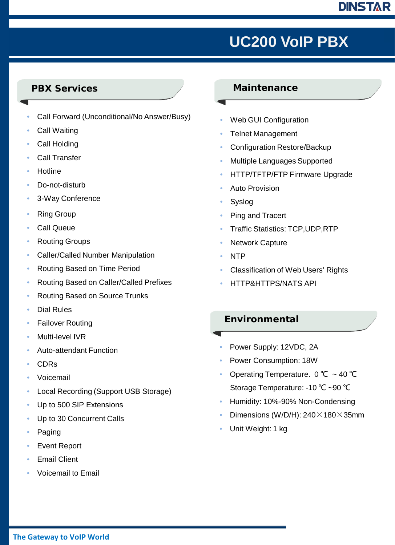### **DINSTAR**

## 客户至上 贴心服务 **UC200 VoIP PBX**

### **PBX Services**

- Call Forward (Unconditional/No Answer/Busy)
- Call Waiting
- Call Holding
- Call Transfer
- Hotline
- Do-not-disturb
- 3-Way Conference
- **Ring Group**
- Call Queue
- Routing Groups
- Caller/Called Number Manipulation
- Routing Based on Time Period
- Routing Based on Caller/Called Prefixes
- Routing Based on Source Trunks
- Dial Rules
- **Failover Routing**
- Multi-level IVR
- Auto-attendant Function
- CDRs
- Voicemail
- Local Recording (Support USB Storage)
- Up to 500 SIP Extensions
- Up to 30 Concurrent Calls
- Paging
- **Event Report**
- **Email Client**
- Voicemail to Email

#### **Maintenance**

- Web GUI Configuration
- Telnet Management
- Configuration Restore/Backup
- Multiple Languages Supported
- HTTP/TFTP/FTP Firmware Upgrade
- Auto Provision
- **Syslog**
- Ping and Tracert
- Traffic Statistics: TCP,UDP,RTP
- **Network Capture**
- NTP
- Classification of Web Users' Rights
- HTTP&HTTPS/NATS API

#### **Environmental**

- - Power Supply: 12VDC, 2A
	- Power Consumption: 18W
	- Operating Temperature.  $0^{\circ}$ C ~ 40 °C Storage Temperature: -10 ℃ ~90 ℃
	- Humidity: 10%-90% Non-Condensing
	- Dimensions (W/D/H):  $240 \times 180 \times 35$ mm
	- Unit Weight: 1 kg